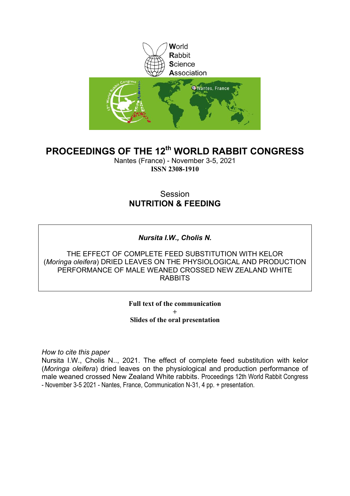

### **PROCEEDINGS OF THE 12th WORLD RABBIT CONGRESS**

Nantes (France) - November 3-5, 2021 **ISSN 2308-1910**

### Session **NUTRITION & FEEDING**

### *Nursita I.W., Cholis N.*

THE EFFECT OF COMPLETE FEED SUBSTITUTION WITH KELOR (*Moringa oleifera*) DRIED LEAVES ON THE PHYSIOLOGICAL AND PRODUCTION PERFORMANCE OF MALE WEANED CROSSED NEW ZEALAND WHITE RABBITS

> **Full text of the communication + Slides of the oral presentation**

*How to cite this paper*

Nursita I.W., Cholis N.., 2021. The effect of complete feed substitution with kelor (*Moringa oleifera*) dried leaves on the physiological and production performance of male weaned crossed New Zealand White rabbits. Proceedings 12th World Rabbit Congress - November 3-5 2021 - Nantes, France, Communication N-31, 4 pp. + presentation.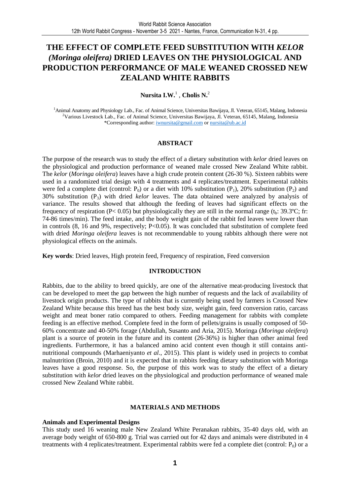### **THE EFFECT OF COMPLETE FEED SUBSTITUTION WITH** *KELOR (Moringa oleifera)* **DRIED LEAVES ON THE PHYSIOLOGICAL AND PRODUCTION PERFORMANCE OF MALE WEANED CROSSED NEW ZEALAND WHITE RABBITS**

#### **Nursita I.W.**<sup>1</sup> , **Cholis N.**<sup>2</sup>

<sup>1</sup>Animal Anatomy and Physiology Lab., Fac. of Animal Science, Universitas Bawijaya, Jl. Veteran, 65145, Malang, Indonesia <sup>2</sup>Various Livestock Lab., Fac. of Animal Science, Universitas Bawijaya, Jl. Veteran, 65145, Malang, Indonesia \*Corresponding author: iwnursita@gmail.com or nursita@ub.ac.id

#### **ABSTRACT**

The purpose of the research was to study the effect of a dietary substitution with *kelor* dried leaves on the physiological and production performance of weaned male crossed New Zealand White rabbit. The *kelor* (*Moringa oleifera*) leaves have a high crude protein content (26-30 %). Sixteen rabbits were used in a randomized trial design with 4 treatments and 4 replicates/treatment. Experimental rabbits were fed a complete diet (control:  $P_0$ ) or a diet with 10% substitution ( $P_1$ ), 20% substitution ( $P_2$ ) and 30% substitution (P3) with dried *kelor* leaves. The data obtained were analyzed by analysis of variance. The results showed that although the feeding of leaves had significant effects on the frequency of respiration (P< 0.05) but physiologically they are still in the normal range (t<sub>b</sub>: 39.3°C; fr: 74-86 times/min). The feed intake, and the body weight gain of the rabbit fed leaves were lower than in controls (8, 16 and 9%, respectively; P<0.05). It was concluded that substitution of complete feed with dried *Moringa oleifera* leaves is not recommendable to young rabbits although there were not physiological effects on the animals.

**Key words**: Dried leaves, High protein feed, Frequency of respiration, Feed conversion

#### **INTRODUCTION**

Rabbits, due to the ability to breed quickly, are one of the alternative meat-producing livestock that can be developed to meet the gap between the high number of requests and the lack of availability of livestock origin products. The type of rabbits that is currently being used by farmers is Crossed New Zealand White because this breed has the best body size, weight gain, feed conversion ratio, carcass weight and meat boner ratio compared to others. Feeding management for rabbits with complete feeding is an effective method. Complete feed in the form of pellets/grains is usually composed of 50- 60% concentrate and 40-50% forage (Abdullah, Susanto and Aria, 2015). Moringa (*Moringa oleifera*) plant is a source of protein in the future and its content (26-36%) is higher than other animal feed ingredients. Furthermore, it has a balanced amino acid content even though it still contains antinutritional compounds (Marhaeniyanto *et al*., 2015). This plant is widely used in projects to combat malnutrition (Broin, 2010) and it is expected that in rabbits feeding dietary substitution with Moringa leaves have a good response. So, the purpose of this work was to study the effect of a dietary substitution with *kelor* dried leaves on the physiological and production performance of weaned male crossed New Zealand White rabbit.

#### **MATERIALS AND METHODS**

#### **Animals and Experimental Designs**

This study used 16 weaning male New Zealand White Peranakan rabbits, 35-40 days old, with an average body weight of 650-800 g. Trial was carried out for 42 days and animals were distributed in 4 treatments with 4 replicates/treatment. Experimental rabbits were fed a complete diet (control:  $P_0$ ) or a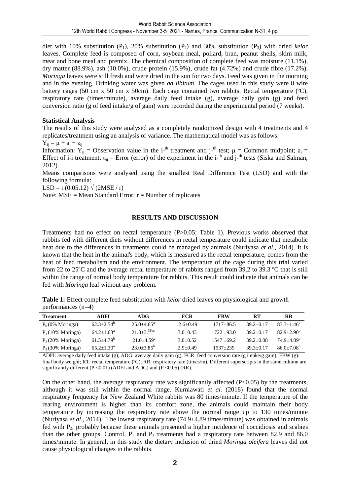diet with 10% substitution  $(P_1)$ , 20% substitution  $(P_2)$  and 30% substitution  $(P_3)$  with dried *kelor* leaves. Complete feed is composed of corn, soybean meal, pollard, bran, peanut shells, skim milk, meat and bone meal and premix. The chemical composition of complete feed was moisture (11.1%), dry matter  $(88.9\%)$ , ash  $(10.0\%)$ , crude protein  $(15.9\%)$ , crude fat  $(4.72\%)$  and crude fibre  $(17.2\%)$ . *Moringa* leaves were still fresh and were dried in the sun for two days. Feed was given in the morning and in the evening. Drinking water was given *ad libitum*. The cages used in this study were 8 wire battery cages (50 cm x 50 cm x 50cm). Each cage contained two rabbits. Rectal temperature (ºC), respiratory rate (times/minute), average daily feed intake (g), average daily gain (g) and feed conversion ratio (g of feed intake/g of gain) were recorded during the experimental period (7 weeks).

#### **Statistical Analysis**

The results of this study were analysed as a completely randomized design with 4 treatments and 4 replicates/treatment using an analysis of variance. The mathematical model was as follows:

 $Y_{ij} = \mu + a_i + \varepsilon_{ij}$ 

Information:  $\hat{Y}_{ij}$  = Observation value in the i-<sup>th</sup> treatment and j-<sup>th</sup> test;  $\mu$  = Common midpoint;  $a_i$  = Effect of i-i treatment;  $\varepsilon_{ij}$  = Error (error) of the experiment in the i-<sup>th</sup> and j-<sup>th</sup> tests (Siska and Salman, 2012).

Means comparisons were analysed using the smallest Real Difference Test (LSD) and with the following formula:

LSD = t (0.05.12)  $\sqrt{(2MSE/r)}$ 

Note:  $MSE = Mean Standard Error$ ;  $r = Number of replicates$ 

#### **RESULTS AND DISCUSSION**

Treatments had no effect on rectal temperature (P>0.05; Table 1). Previous works observed that rabbits fed with different diets without differences in rectal temperature could indicate that metabolic heat due to the differences in treatments could be managed by animals (Nuriyasa *et al.,* 2014). It is known that the heat in the animal's body, which is measured as the rectal temperature, comes from the heat of feed metabolism and the environment. The temperature of the cage during this trial varied from 22 to 25ºC and the average rectal temperature of rabbits ranged from 39.2 to 39.3 ºC that is still within the range of normal body temperature for rabbits. This result could indicate that animals can be fed with *Moringa* leaf without any problem.

**Table 1:** Effect complete feed substitution with *kelor* dried leaves on physiological and growth performances (n=4)

| <b>Treatment</b>            | ADFI                  | ADG.                       | <b>FCR</b>   | <b>FBW</b>    | RТ              | <b>RR</b>                  |
|-----------------------------|-----------------------|----------------------------|--------------|---------------|-----------------|----------------------------|
| $P_0(0\% \text{ Moringa})$  | $62.3 + 2.54^{\circ}$ | $25.0 + 4.65^{\circ}$      | $2.6 + 0.49$ | $1717 + 86.5$ | $39.2 + 0.17$   | $83.3 + 1.46^b$            |
| $P_1(10\% \text{ Moringa})$ | $64.2 + 1.63^{\circ}$ | $21.8 \pm 3.^{33bc}$       | $3.0 + 0.43$ | $1722 + 93.0$ | $39.2 + 0.17$   | $82.9 + 2.90^b$            |
| $P_2(20\% \text{ Moringa})$ | $61.5 + 4.79^b$       | $21.0 + 4.59$ <sup>c</sup> | $3.0 + 0.52$ | $1547 + 69.2$ | $39.2 \pm 0.08$ | $74.9 + 4.89$ <sup>a</sup> |
| $P_3$ (30% Moringa)         | $65.2 + 1.30^a$       | $23.0 + 3.85^b$            | $2.9 + 0.49$ | $1537 + 239$  | $39.3 + 0.17$   | $86.0 + 7.08^b$            |

ADFI: average daily feed intake (g); ADG: average daily gain (g); FCR: feed conversion rate (g intake/g gain); FBW (g): final body weight; RT: rectal temperature (ºC); RR: respiratory rate (times/m). Different superscripts in the same column are significantly different (P < 0.01) (ADFI and ADG) and (P < 0.05) (RR).

On the other hand, the average respiratory rate was significantly affected (P<0.05) by the treatments, although it was still within the normal range. Kurniawati *et al.* (2018) found that the normal respiratory frequency for New Zealand White rabbits was 80 times/minute. If the temperature of the rearing environment is higher than its comfort zone, the animals could maintain their body temperature by increasing the respiratory rate above the normal range up to 130 times/minute (Nuriyasa *et al*., 2014). The lowest respiratory rate (74.9±4.89 times/minute) was obtained in animals fed with P<sub>2</sub>, probably because these animals presented a higher incidence of coccidiosis and scabies than the other groups. Control,  $P_1$  and  $P_3$  treatments had a respiratory rate between 82.9 and 86.0 times/minute. In general, in this study the dietary inclusion of dried *Moringa oleifera* leaves did not cause physiological changes in the rabbits.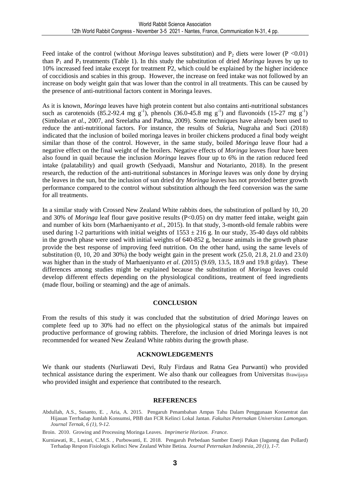Feed intake of the control (without *Moringa* leaves substitution) and  $P_2$  diets were lower (P <0.01) than  $P_1$  and  $P_3$  treatments (Table 1). In this study the substitution of dried *Moringa* leaves by up to 10% increased feed intake except for treatment P2, which could be explained by the higher incidence of coccidiosis and scabies in this group. However, the increase on feed intake was not followed by an increase on body weight gain that was lower than the control in all treatments. This can be caused by the presence of anti-nutritional factors content in Moringa leaves.

As it is known, *Moringa* leaves have high protein content but also contains anti-nutritional substances such as carotenoids  $(85.2-92.4 \text{ mg g}^{-1})$ , phenols  $(36.0-45.8 \text{ mg g}^{-1})$  and flavonoids  $(15-27 \text{ mg g}^{-1})$ (Simbolan *et al*., 2007, and Sreelatha and Padma, 2009). Some techniques have already been used to reduce the anti-nutritional factors. For instance, the results of Sukria, Nugraha and Suci (2018) indicated that the inclusion of boiled moringa leaves in broiler chickens produced a final body weight similar than those of the control. However, in the same study, boiled *Moringa* leave flour had a negative effect on the final weight of the broilers. Negative effects of *Moringa* leaves flour have been also found in quail because the inclusion *Moringa* leaves flour up to 6% in the ration reduced feed intake (palatability) and quail growth (Sedyaadi, Manshur and Notarianto, 2018). In the present research, the reduction of the anti-nutritional substances in *Moringa* leaves was only done by drying the leaves in the sun, but the inclusion of sun dried dry *Moringa* leaves has not provided better growth performance compared to the control without substitution although the feed conversion was the same for all treatments.

In a similar study with Crossed New Zealand White rabbits does, the substitution of pollard by 10, 20 and 30% of *Moringa* leaf flour gave positive results (P<0.05) on dry matter feed intake, weight gain and number of kits born (Marhaeniyanto *et al*., 2015). In that study, 3-month-old female rabbits were used during 1-2 parturitions with initial weights of  $1553 \pm 216$  g. In our study, 35-40 days old rabbits in the growth phase were used with initial weights of 640-852 g, because animals in the growth phase provide the best response of improving feed nutrition. On the other hand, using the same levels of substitution (0, 10, 20 and 30%) the body weight gain in the present work (25.0, 21.8, 21.0 and 23.0) was higher than in the study of Marhaeniyanto *et al*. (2015) (9.69, 13.5, 18.9 and 19.8 g/day). These differences among studies might be explained because the substitution of *Moringa* leaves could develop different effects depending on the physiological conditions, treatment of feed ingredients (made flour, boiling or steaming) and the age of animals.

#### **CONCLUSION**

From the results of this study it was concluded that the substitution of dried *Moringa* leaves on complete feed up to 30% had no effect on the physiological status of the animals but impaired productive performance of growing rabbits. Therefore, the inclusion of dried Moringa leaves is not recommended for weaned New Zealand White rabbits during the growth phase.

#### **ACKNOWLEDGEMENTS**

We thank our students (Nurliawati Devi, Ruly Firdaus and Ratna Gea Purwanti) who provided technical assistance during the experiment. We also thank our colleagues from Universitas Brawijaya who provided insight and experience that contributed to the research.

#### **REFERENCES**

Abdullah, A.S., Susanto, E. , Aria, A. 2015. Pengaruh Penambahan Ampas Tahu Dalam Penggunaan Konsentrat dan Hijauan Terrhadap Jumlah Konsumsi, PBB dan FCR Kelinci Lokal Jantan. *Fakultas Peternakan Universitas Lamongan. Journal Ternak, 6 (1), 9-12.* 

Broin. 2010. Growing and Processing Moringa Leaves. *Imprimerie Horizon. France.*

Kurniawati, R., Lestari, C.M.S. , Purbowanti, E. 2018. Pengaruh Perbedaan Sumber Enerji Pakan (Jagunng dan Pollard) Terhadap Respon Fisiologis Kelinci New Zealand White Betina*. Journal Peternakan Indonesia*, *20 (1), 1-7.*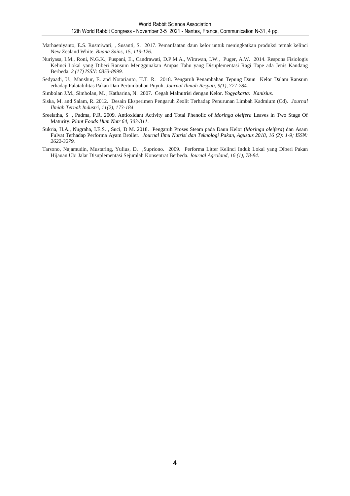- Marhaeniyanto, E.S. Rusmiwari, , Susanti, S. 2017. Pemanfaatan daun kelor untuk meningkatkan produksi ternak kelinci New Zealand White. *Buana Sains, 15, 119-126.*
- Nuriyasa, I.M., Roni, N.G.K., Puspani, E., Candrawati, D.P.M.A., Wirawan, I.W., Puger, A.W. 2014. Respons Fisiologis Kelinci Lokal yang Diberi Ransum Menggunakan Ampas Tahu yang Disuplementasi Ragi Tape ada Jenis Kandang Berbeda. *2 (17) ISSN: 0853-8999.*
- Sedyaadi, U., Manshur, E. and Notarianto, H.T. R. 2018. Pengaruh Penambahan Tepung Daun Kelor Dalam Ransum erhadap Palatabilitas Pakan Dan Pertumbuhan Puyuh. *Journal Ilmiah Respati*, *9(1), 777-784.*
- Simbolan J.M., Simbolan, M. , Katharina, N. 2007. Cegah Malnutrisi dengan Kelor. *Yogyakarta: Kanisius.*
- Siska, M. and Salam, R. 2012. Desain Eksperimen Pengaruh Zeolit Terhadap Penurunan Limbah Kadmium (Cd). *Journal Ilmiah Ternak Industri, 11(2), 173-184*
- Sreelatha, S. , Padma, P.R. 2009. Antioxidant Activity and Total Phenolic of *Moringa oleifera* Leaves in Two Stage Of Maturity. *Plant Foods Hum Nutr 64, 303-311*.
- Sukria, H.A., Nugraha, I.E.S. , Suci, D M. 2018. Pengaruh Proses Steam pada Daun Kelor (*Moringa oleifera*) dan Asam Fulvat Terhadap Performa Ayam Broiler. *Journal Ilmu Nutrisi dan Teknologi Pakan, Agustus 2018, 16 (2): 1-9; ISSN: 2622-3279.*
- Tarsono, Najamudin, Mustaring, Yulius, D. ,Supriono. 2009. Performa Litter Kelinci Induk Lokal yang Diberi Pakan Hijauan Ubi Jalar Disuplementasi Sejumlah Konsentrat Berbeda. *Journal Agroland*, *16 (1), 78-84.*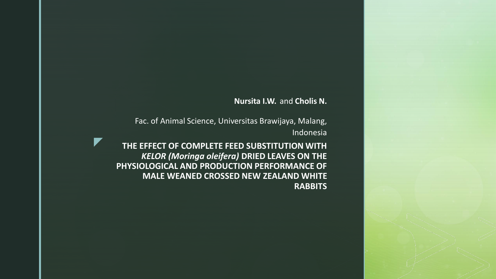### **Nursita I.W.** and **Cholis N.**

Fac. of Animal Science, Universitas Brawijaya, Malang, Indonesia

z **THE EFFECT OF COMPLETE FEED SUBSTITUTION WITH**  *KELOR (Moringa oleifera)* **DRIED LEAVES ON THE PHYSIOLOGICAL AND PRODUCTION PERFORMANCE OF MALE WEANED CROSSED NEW ZEALAND WHITE RABBITS**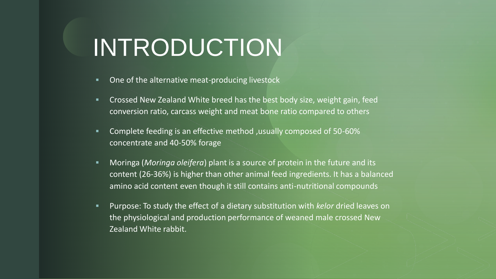## z INTRODUCTION

- One of the alternative meat-producing livestock
- **EXP** Crossed New Zealand White breed has the best body size, weight gain, feed conversion ratio, carcass weight and meat bone ratio compared to others
- Complete feeding is an effective method , usually composed of 50-60% concentrate and 40-50% forage
- **■** Moringa (*Moringa oleifera*) plant is a source of protein in the future and its content (26-36%) is higher than other animal feed ingredients. It has a balanced amino acid content even though it still contains anti-nutritional compounds
- Purpose: To study the effect of a dietary substitution with *kelor* dried leaves on the physiological and production performance of weaned male crossed New Zealand White rabbit.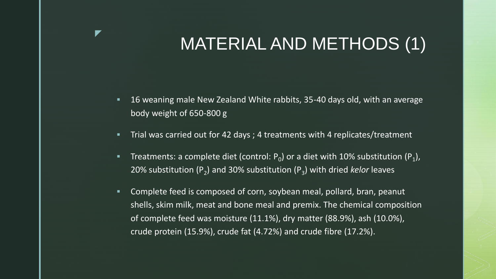# MATERIAL AND METHODS (1)

- 16 weaning male New Zealand White rabbits, 35-40 days old, with an average body weight of 650-800 g
- Trial was carried out for 42 days ; 4 treatments with 4 replicates/treatment

z

- **Treatments: a complete diet (control: P<sub>0</sub>) or a diet with 10% substitution (P<sub>1</sub>),** 20% substitution (P<sub>2</sub>) and 30% substitution (P<sub>3</sub>) with dried *kelor* leaves
- Complete feed is composed of corn, soybean meal, pollard, bran, peanut shells, skim milk, meat and bone meal and premix. The chemical composition of complete feed was moisture (11.1%), dry matter (88.9%), ash (10.0%), crude protein (15.9%), crude fat (4.72%) and crude fibre (17.2%).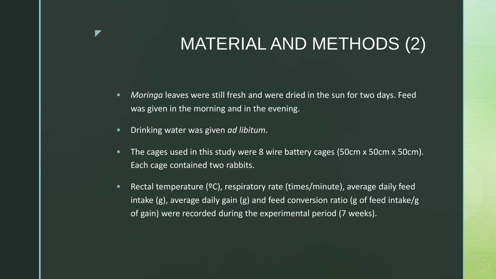# MATERIAL AND METHODS (2)

- **EXP** Moringa leaves were still fresh and were dried in the sun for two days. Feed was given in the morning and in the evening.
- Drinking water was given *ad libitum*.

z

- **The cages used in this study were 8 wire battery cages (50cm x 50cm x 50cm).** Each cage contained two rabbits.
- Rectal temperature (°C), respiratory rate (times/minute), average daily feed intake (g), average daily gain (g) and feed conversion ratio (g of feed intake/g of gain) were recorded during the experimental period (7 weeks).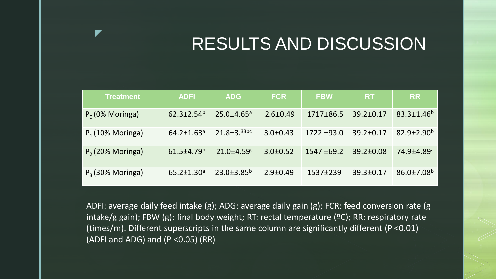# RESULTS AND DISCUSSION

| <b>Treatment</b>            | <b>ADFI</b>                  | <b>ADG</b>                 | <b>FCR</b>     | <b>FBW</b>    | <b>RT</b>       | <b>RR</b>                  |
|-----------------------------|------------------------------|----------------------------|----------------|---------------|-----------------|----------------------------|
| $P_0$ (0% Moringa)          | $62.3 \pm 2.54^b$            | $25.0 + 4.65$ <sup>a</sup> | $2.6 \pm 0.49$ | $1717 + 86.5$ | $39.2 \pm 0.17$ | $83.3 \pm 1.46^b$          |
| $P_1(10\% \text{ Moringa})$ | $64.2 \pm 1.63$ <sup>a</sup> | $21.8 + 3.33$ bc           | $3.0+0.43$     | $1722 + 93.0$ | $39.2 \pm 0.17$ | $82.9 + 2.90b$             |
| $P2$ (20% Moringa)          | $61.5 + 4.79^b$              | $21.0 + 4.59$ <sup>c</sup> | $3.0+0.52$     | $1547 + 69.2$ | $39.2 \pm 0.08$ | $74.9 + 4.89$ <sup>a</sup> |
| $P_3$ (30% Moringa)         | $65.2 \pm 1.30$ <sup>a</sup> | $23.0 \pm 3.85^b$          | $2.9 + 0.49$   | $1537 + 239$  | $39.3 \pm 0.17$ | $86.0 \pm 7.08^b$          |

z

ADFI: average daily feed intake (g); ADG: average daily gain (g); FCR: feed conversion rate (g intake/g gain); FBW (g): final body weight; RT: rectal temperature (ºC); RR: respiratory rate (times/m). Different superscripts in the same column are significantly different (P <0.01) (ADFI and ADG) and  $(P < 0.05)$  (RR)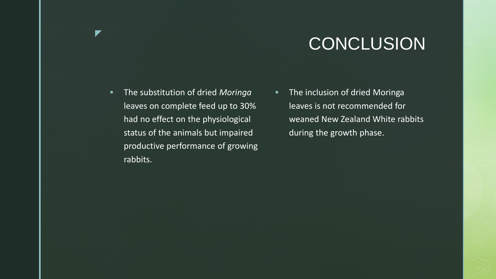# **CONCLUSION**

▪ The substitution of dried *Moringa* leaves on complete feed up to 30% had no effect on the physiological status of the animals but impaired productive performance of growing rabbits.

z

**The inclusion of dried Moringa** leaves is not recommended for weaned New Zealand White rabbits during the growth phase.